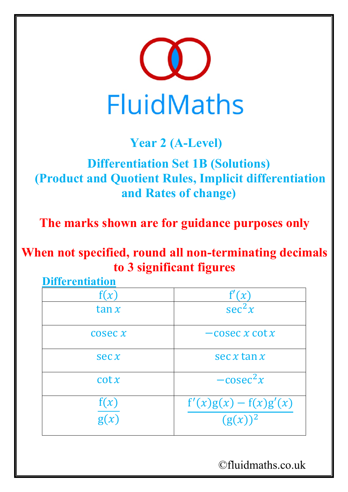

## **Year 2 (A-Level)**

## **Differentiation Set 1B (Solutions) (Product and Quotient Rules, Implicit differentiation and Rates of change)**

**The marks shown are for guidance purposes only**

**When not specified, round all non-terminating decimals to 3 significant figures**

| <b>Differentiation</b> |                                       |
|------------------------|---------------------------------------|
| f(x)                   | f'(x)                                 |
| $\tan x$               | sec <sup>2</sup> x                    |
| $\csc x$               | $-cosec x \cot x$                     |
| sec x                  | $\sec x \tan x$                       |
| $\cot x$               | $-cosec2x$                            |
| $\frac{f(x)}{g(x)}$    | $f'(x)g(x) - f(x)g'(x)$<br>$(g(x))^2$ |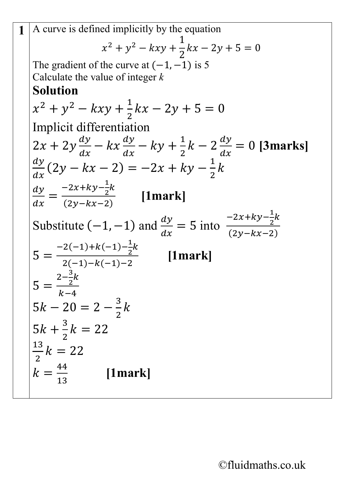1 A curve is defined implicitly by the equation  
\n
$$
x^2 + y^2 - kxy + \frac{1}{2}kx - 2y + 5 = 0
$$
  
\nThe gradient of the curve at (-1, -1) is 5  
\nCalculate the value of integer *k*  
\n**Solution**  
\n $x^2 + y^2 - kxy + \frac{1}{2}kx - 2y + 5 = 0$   
\nImplicit differentiation  
\n $2x + 2y \frac{dy}{dx} - kx \frac{dy}{dx} - ky + \frac{1}{2}k - 2 \frac{dy}{dx} = 0$  [**3marks**]  
\n $\frac{dy}{dx}(2y - kx - 2) = -2x + ky - \frac{1}{2}k$   
\n $\frac{dy}{dx} = \frac{-2x + ky - \frac{1}{2}k}{(2y - kx - 2)}$  [**1mark**]  
\nSubstitute (-1, -1) and  $\frac{dy}{dx} = 5$  into  $\frac{-2x + ky - \frac{1}{2}k}{(2y - kx - 2)}$   
\n $5 = \frac{-2(-1) + k(-1) - \frac{1}{2}k}{2(-1) - k(-1) - 2}$  [**1mark**]  
\n $5 = \frac{2 - \frac{3}{2}k}{2(-1) - k(-1) - 2}$  [**1mark**]  
\n $5 = \frac{2 - \frac{3}{2}k}{k - 4}$   
\n $5k - 20 = 2 - \frac{3}{2}k$   
\n $5k + \frac{3}{2}k = 22$   
\n $\frac{13}{2}k = 22$  [**1mark**]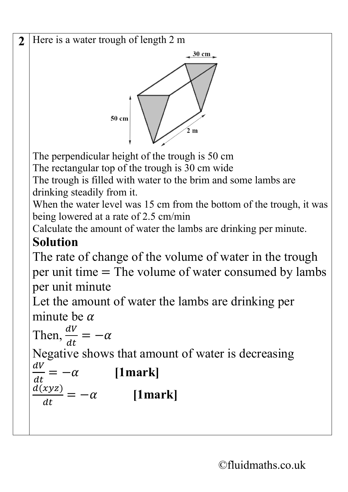2 Here is a water trough of length 2 m 30 cm 50 cm  $2m$ The perpendicular height of the trough is 50 cm The rectangular top of the trough is 30 cm wide The trough is filled with water to the brim and some lambs are drinking steadily from it. When the water level was 15 cm from the bottom of the trough, it was being lowered at a rate of 2.5 cm/min Calculate the amount of water the lambs are drinking per minute. **Solution** The rate of change of the volume of water in the trough per unit time = The volume of water consumed by lambs per unit minute Let the amount of water the lambs are drinking per minute be  $\alpha$ Then,  $\frac{dV}{dt}$  $=-\alpha$  $dt$ Negative shows that amount of water is decreasing  $dV$  $=-\alpha$  [1mark]  $dt$ = − **[1mark]** $\frac{d(xyz)}{dx}$  $dt$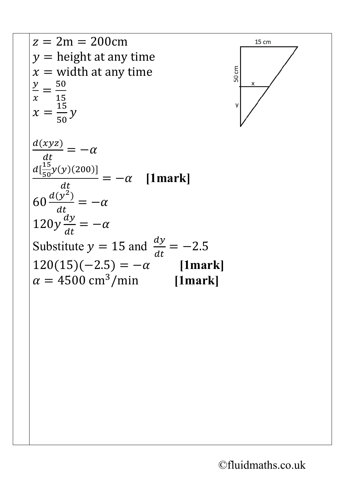

 $15 \text{ cm}$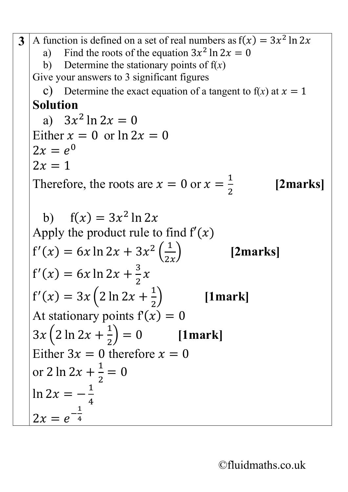**3** A function is defined on a set of real numbers as  $f(x) = 3x^2 \ln 2x$ a) Find the roots of the equation  $3x^2 \ln 2x = 0$ b) Determine the stationary points of  $f(x)$ Give your answers to 3 significant figures c) Determine the exact equation of a tangent to  $f(x)$  at  $x = 1$ **Solution**  a)  $3x^2 \ln 2x = 0$ Either  $x = 0$  or  $\ln 2x = 0$  $2x = e^{0}$  $2x=1$ Therefore, the roots are  $x = 0$  or  $x = \frac{1}{2}$ 2 **[2marks]** b)  $f(x) = 3x^2 \ln 2x$ Apply the product rule to find  $f'(x)$  $f'(x) = 6x \ln 2x + 3x^2 \left(\frac{1}{2x}\right)$ [2marks]  $f'(x) = 6x \ln 2x + \frac{3}{2}$ 2  $\chi$  $f'(x) = 3x \left( 2 \ln 2x + \frac{1}{2} \right)$ 2 � **[1mark]** At stationary points  $f(x) = 0$  $3x (2 \ln 2x + \frac{1}{2})$ 2 � = 0 **[1mark]** Either  $3x = 0$  therefore  $x = 0$ or 2 ln 2x +  $\frac{1}{2}$ 2  $= 0$ ln 2 $x = -\frac{1}{4}$ 4  $2x = e^{-\frac{1}{4}}$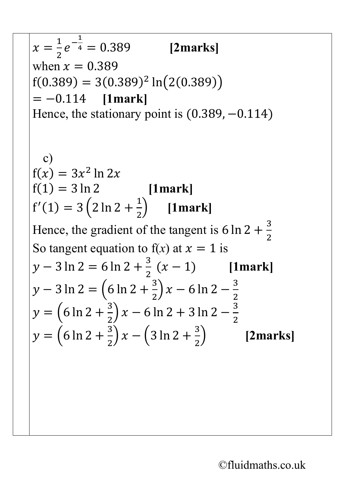$$
x = \frac{1}{2}e^{-\frac{1}{4}} = 0.389
$$
 [2marks]  
when  $x = 0.389$   
f(0.389) = 3(0.389)<sup>2</sup> ln(2(0.389))  
= -0.114 [1mark]  
Hence, the stationary point is (0.389, -0.114)  
c)  
f(x) = 3x<sup>2</sup> ln 2x  
f(1) = 3 ln 2 [1mark]  
f'(1) = 3 (2 ln 2 +  $\frac{1}{2}$ ) [1mark]  
Hence, the gradient of the tangent is 6 ln 2 +  $\frac{3}{2}$   
So tangent equation to f(x) at  $x = 1$  is  
 $y - 3 ln 2 = 6 ln 2 +  $\frac{3}{2}$  (x - 1) [1mark]  
 $y - 3 ln 2 = (6 ln 2 +  $\frac{3}{2}$ )x - 6 ln 2 -  $\frac{3}{2}$   
 $y = (6 ln 2 +  $\frac{3}{2}$ )x - 6 ln 2 + 3 ln 2 -  $\frac{3}{2}$   
 $y = (6 ln 2 +  $\frac{3}{2}$ )x - (3 ln 2 +  $\frac{3}{2}$ ) [2marks]$$$$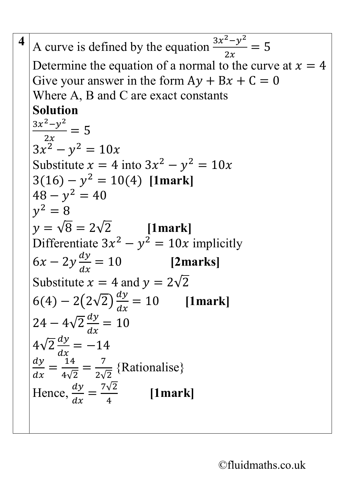**4** A curve is defined by the equation  $\frac{3x^2 - y^2}{2x}$ 2  $= 5$ Determine the equation of a normal to the curve at  $x = 4$ Give your answer in the form  $Ay + Bx + C = 0$ Where A, B and C are exact constants **Solution**  $\frac{3x^2-y^2}{2}$ 2  $= 5$  $3x^2 - y^2 = 10x$ Substitute  $x = 4$  into  $3x^2 - y^2 = 10x$  $3(16) - y^2 = 10(4)$  **[1mark]**  $48 - v^2 = 40$  $v^2 = 8$  $v = \sqrt{8} = 2\sqrt{2}$  [1mark] Differentiate  $3x^2 - y^2 = 10x$  implicitly  $6x - 2y \frac{dy}{dx}$  $dx$ = 10 **[2marks]** Substitute  $x = 4$  and  $y = 2\sqrt{2}$  $6(4) - 2(2\sqrt{2})\frac{dy}{dx} = 10$  $dx$ = 10 **[1mark]**  $24 - 4\sqrt{2} \frac{dy}{dx} = 10$  $dx$  $4\sqrt{2}\frac{dy}{dx} = -14$  $\frac{dx}{4}$ <u>ау</u>  $dx$ = 14 4√2 =  $\frac{7}{2\sqrt{2}}$ {Rationalise} Hence,  $\frac{dy}{dx}$  $dx$ =  $\frac{7\sqrt{2}}{4}$  [1mark]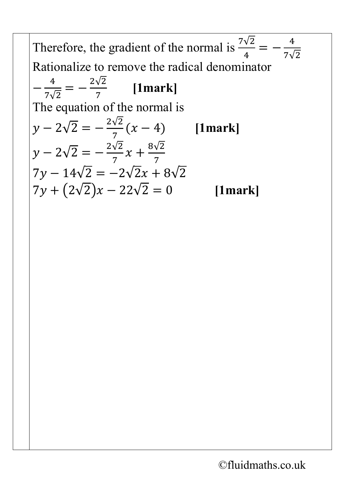Therefore, the gradient of the normal is  $\frac{7\sqrt{2}}{4}$ 4  $=-\frac{4}{7}$ 7√2 Rationalize to remove the radical denominator  $-\frac{4}{7}$ 7√2  $=-\frac{2\sqrt{2}}{7}$  [1mark] The equation of the normal is  $y - 2\sqrt{2} = -\frac{2\sqrt{2}}{7}(x-4)$  [1mark]  $y - 2\sqrt{2} = -\frac{2\sqrt{2}}{7}x + \frac{8\sqrt{2}}{7}$ 7 7  $7y - 14\sqrt{2} = -2\sqrt{2x} + 8\sqrt{2}$  $7y + (2\sqrt{2})x - 22\sqrt{2} = 0$  [1mark]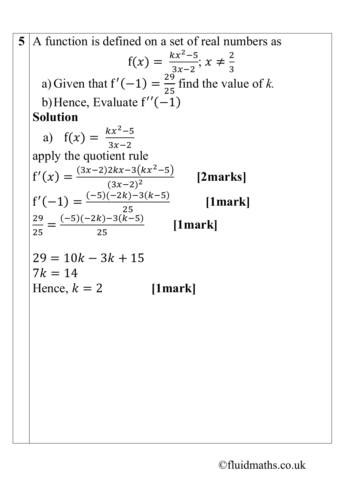5 A function is defined on a set of real numbers as  
\n
$$
f(x) = \frac{kx^2-5}{3x-2}; x \neq \frac{2}{3}
$$
\na) Given that  $f'(-1) = \frac{29}{25}$  find the value of k.  
\nb) Hence, Evaluate  $f''(-1)$   
\n**Solution**  
\na)  $f(x) = \frac{kx^2-5}{3x-2}$   
\napply the quotient rule  
\n $f'(x) = \frac{(3x-2)2kx-3(kx^2-5)}{(3x-2)^2}$  [2marks]  
\n $f'(-1) = \frac{(-5)(-2k)-3(k-5)}{25}$  [1mark]  
\n $\frac{29}{25} = \frac{(-5)(-2k)-3(k-5)}{25}$  [1mark]  
\n $29 = 10k - 3k + 15$   
\n7k = 14  
\nHence, k = 2 [1mark]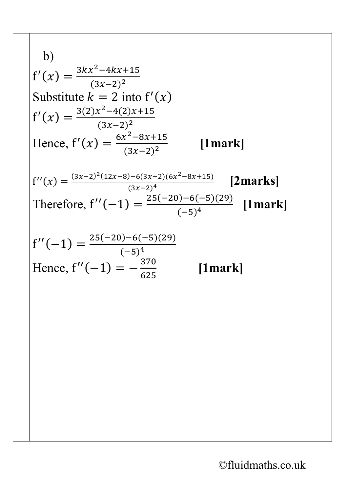b)  
\n
$$
f'(x) = \frac{3kx^2 - 4kx + 15}{(3x - 2)^2}
$$
\nSubstitute  $k = 2$  into  $f'(x)$   
\n
$$
f'(x) = \frac{3(2)x^2 - 4(2)x + 15}{(3x - 2)^2}
$$
\nHence,  $f'(x) = \frac{6x^2 - 8x + 15}{(3x - 2)^2}$  [1mark]  
\n
$$
f''(x) = \frac{(3x - 2)^2(12x - 8) - 6(3x - 2)(6x^2 - 8x + 15)}{(3x - 2)^4}
$$
 [2mark]  
\nTherefore,  $f''(-1) = \frac{25(-20) - 6(-5)(29)}{(-5)^4}$  [1mark]  
\n
$$
f''(-1) = \frac{25(-20) - 6(-5)(29)}{(-5)^4}
$$
\nHence,  $f''(-1) = -\frac{370}{625}$  [1mark]